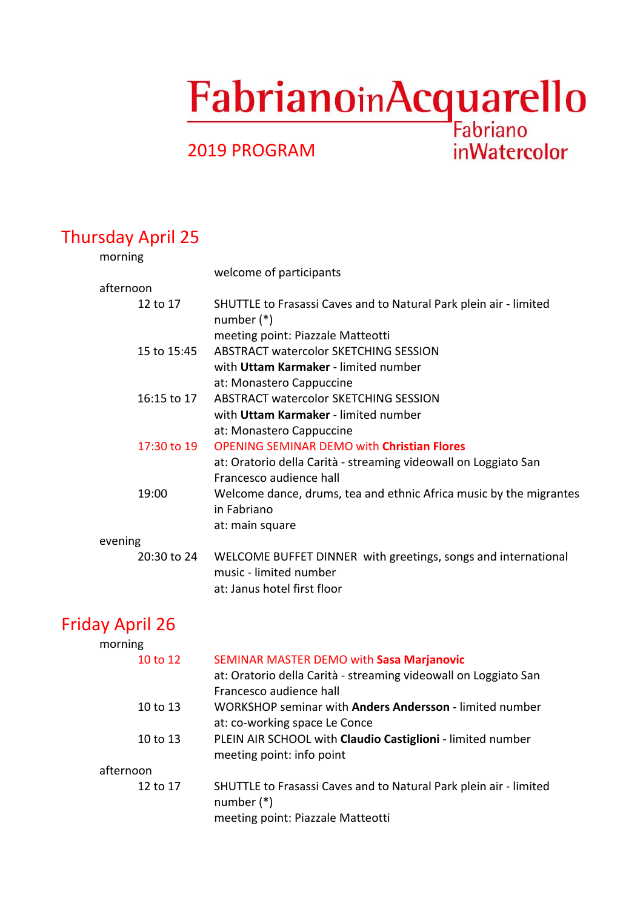# FabrianoinAcquarello

**inWatercolor** 

## 2019 PROGRAM

# Thursday April 25

| morning     |                                                                                         |
|-------------|-----------------------------------------------------------------------------------------|
|             | welcome of participants                                                                 |
| afternoon   |                                                                                         |
| 12 to 17    | SHUTTLE to Frasassi Caves and to Natural Park plein air - limited<br>number $(*)$       |
|             | meeting point: Piazzale Matteotti                                                       |
| 15 to 15:45 | ABSTRACT watercolor SKETCHING SESSION                                                   |
|             | with Uttam Karmaker - limited number                                                    |
|             | at: Monastero Cappuccine                                                                |
| 16:15 to 17 | <b>ABSTRACT watercolor SKETCHING SESSION</b>                                            |
|             | with Uttam Karmaker - limited number                                                    |
|             | at: Monastero Cappuccine                                                                |
| 17:30 to 19 | <b>OPENING SEMINAR DEMO with Christian Flores</b>                                       |
|             | at: Oratorio della Carità - streaming videowall on Loggiato San                         |
|             | Francesco audience hall                                                                 |
| 19:00       | Welcome dance, drums, tea and ethnic Africa music by the migrantes<br>in Fabriano       |
|             | at: main square                                                                         |
| evening     |                                                                                         |
| 20:30 to 24 | WELCOME BUFFET DINNER with greetings, songs and international<br>music - limited number |
|             | at: Janus hotel first floor                                                             |

# Friday April 26

| morning   |                                                                   |
|-----------|-------------------------------------------------------------------|
| 10 to 12  | SEMINAR MASTER DEMO with Sasa Marjanovic                          |
|           | at: Oratorio della Carità - streaming videowall on Loggiato San   |
|           | Francesco audience hall                                           |
| 10 to 13  | WORKSHOP seminar with <b>Anders Andersson</b> - limited number    |
|           | at: co-working space Le Conce                                     |
| 10 to 13  | PLEIN AIR SCHOOL with Claudio Castiglioni - limited number        |
|           | meeting point: info point                                         |
| afternoon |                                                                   |
| 12 to 17  | SHUTTLE to Frasassi Caves and to Natural Park plein air - limited |
|           | number $(*)$                                                      |
|           | meeting point: Piazzale Matteotti                                 |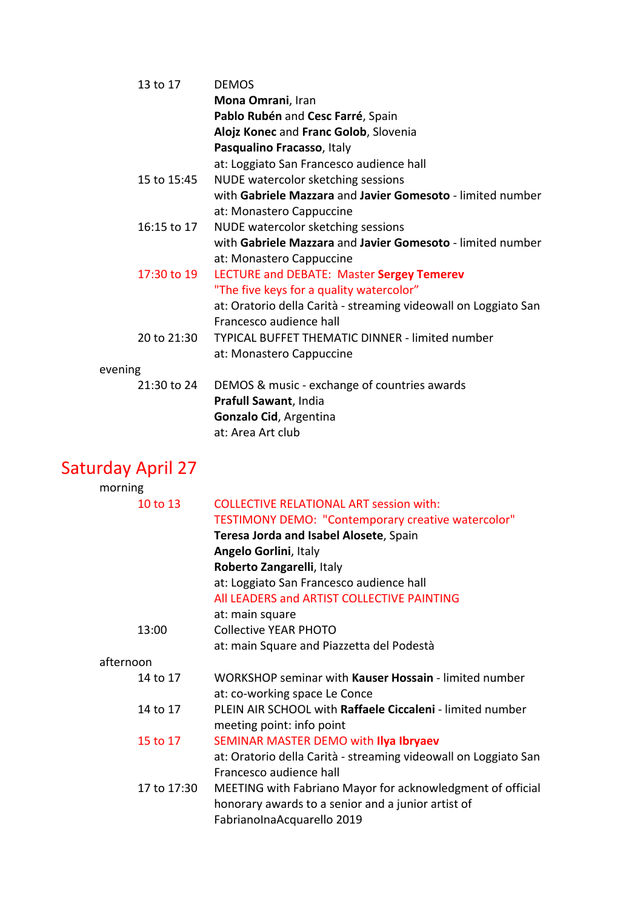| 13 to 17    | <b>DEMOS</b>                                                    |
|-------------|-----------------------------------------------------------------|
|             | Mona Omrani, Iran                                               |
|             | Pablo Rubén and Cesc Farré, Spain                               |
|             | Alojz Konec and Franc Golob, Slovenia                           |
|             | Pasqualino Fracasso, Italy                                      |
|             | at: Loggiato San Francesco audience hall                        |
| 15 to 15:45 | NUDE watercolor sketching sessions                              |
|             | with Gabriele Mazzara and Javier Gomesoto - limited number      |
|             | at: Monastero Cappuccine                                        |
| 16:15 to 17 | NUDE watercolor sketching sessions                              |
|             | with Gabriele Mazzara and Javier Gomesoto - limited number      |
|             | at: Monastero Cappuccine                                        |
| 17:30 to 19 | LECTURE and DEBATE: Master Sergey Temerev                       |
|             | "The five keys for a quality watercolor"                        |
|             | at: Oratorio della Carità - streaming videowall on Loggiato San |
|             | Francesco audience hall                                         |
| 20 to 21:30 | TYPICAL BUFFET THEMATIC DINNER - limited number                 |
|             | at: Monastero Cappuccine                                        |
| evening     |                                                                 |
| 21:30 to 24 | DEMOS & music - exchange of countries awards                    |
|             | Prafull Sawant, India                                           |
|             | Gonzalo Cid, Argentina                                          |
|             | at: Area Art club                                               |

# Saturday April 27

| morning     |                                                                 |
|-------------|-----------------------------------------------------------------|
| 10 to 13    | <b>COLLECTIVE RELATIONAL ART session with:</b>                  |
|             | <b>TESTIMONY DEMO: "Contemporary creative watercolor"</b>       |
|             | Teresa Jorda and Isabel Alosete, Spain                          |
|             | Angelo Gorlini, Italy                                           |
|             | Roberto Zangarelli, Italy                                       |
|             | at: Loggiato San Francesco audience hall                        |
|             | All LEADERS and ARTIST COLLECTIVE PAINTING                      |
|             | at: main square                                                 |
| 13:00       | <b>Collective YEAR PHOTO</b>                                    |
|             | at: main Square and Piazzetta del Podestà                       |
| afternoon   |                                                                 |
| 14 to 17    | WORKSHOP seminar with Kauser Hossain - limited number           |
|             | at: co-working space Le Conce                                   |
| 14 to 17    | PLEIN AIR SCHOOL with Raffaele Ciccaleni - limited number       |
|             | meeting point: info point                                       |
| 15 to 17    | SEMINAR MASTER DEMO with Ilya Ibryaev                           |
|             | at: Oratorio della Carità - streaming videowall on Loggiato San |
|             | Francesco audience hall                                         |
| 17 to 17:30 | MEETING with Fabriano Mayor for acknowledgment of official      |
|             | honorary awards to a senior and a junior artist of              |
|             | FabrianoInaAcquarello 2019                                      |
|             |                                                                 |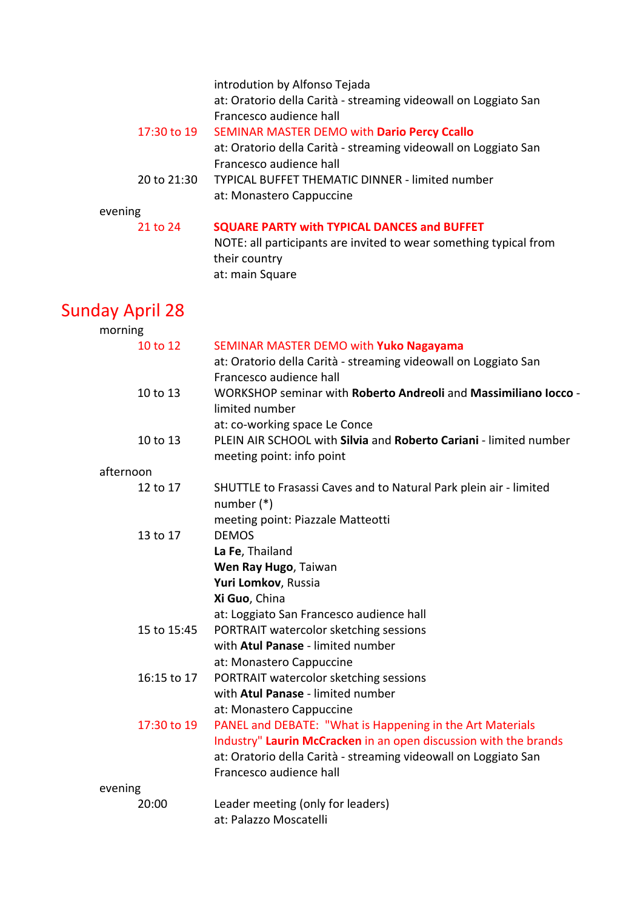| 17:30 to 19     | introdution by Alfonso Tejada<br>at: Oratorio della Carità - streaming videowall on Loggiato San<br>Francesco audience hall<br>SEMINAR MASTER DEMO with Dario Percy Ccallo<br>at: Oratorio della Carità - streaming videowall on Loggiato San<br>Francesco audience hall |
|-----------------|--------------------------------------------------------------------------------------------------------------------------------------------------------------------------------------------------------------------------------------------------------------------------|
| 20 to 21:30     | <b>TYPICAL BUFFET THEMATIC DINNER - limited number</b><br>at: Monastero Cappuccine                                                                                                                                                                                       |
| evening         |                                                                                                                                                                                                                                                                          |
| 21 to 24        | <b>SQUARE PARTY with TYPICAL DANCES and BUFFET</b><br>NOTE: all participants are invited to wear something typical from<br>their country<br>at: main Square                                                                                                              |
| Sunday April 28 |                                                                                                                                                                                                                                                                          |
| morning         |                                                                                                                                                                                                                                                                          |
| 10 to 12        | SEMINAR MASTER DEMO with Yuko Nagayama<br>at: Oratorio della Carità - streaming videowall on Loggiato San<br>Francesco audience hall                                                                                                                                     |
| 10 to 13        | WORKSHOP seminar with Roberto Andreoli and Massimiliano locco -<br>limited number<br>at: co-working space Le Conce                                                                                                                                                       |
| 10 to 13        | PLEIN AIR SCHOOL with Silvia and Roberto Cariani - limited number<br>meeting point: info point                                                                                                                                                                           |
| afternoon       |                                                                                                                                                                                                                                                                          |
| 12 to 17        | SHUTTLE to Frasassi Caves and to Natural Park plein air - limited<br>number $(*)$<br>meeting point: Piazzale Matteotti                                                                                                                                                   |
| 13 to 17        | <b>DEMOS</b><br>La Fe, Thailand<br>Wen Ray Hugo, Taiwan<br>Yuri Lomkov, Russia<br>Xi Guo, China<br>at: Loggiato San Francesco audience hall                                                                                                                              |
| 15 to 15:45     | PORTRAIT watercolor sketching sessions<br>with Atul Panase - limited number<br>at: Monastero Cappuccine                                                                                                                                                                  |
| 16:15 to 17     | PORTRAIT watercolor sketching sessions<br>with Atul Panase - limited number<br>at: Monastero Cappuccine                                                                                                                                                                  |
| 17:30 to 19     | PANEL and DEBATE: "What is Happening in the Art Materials<br>Industry" Laurin McCracken in an open discussion with the brands<br>at: Oratorio della Carità - streaming videowall on Loggiato San<br>Francesco audience hall                                              |
| evening         |                                                                                                                                                                                                                                                                          |
| 20:00           | Leader meeting (only for leaders)<br>at: Palazzo Moscatelli                                                                                                                                                                                                              |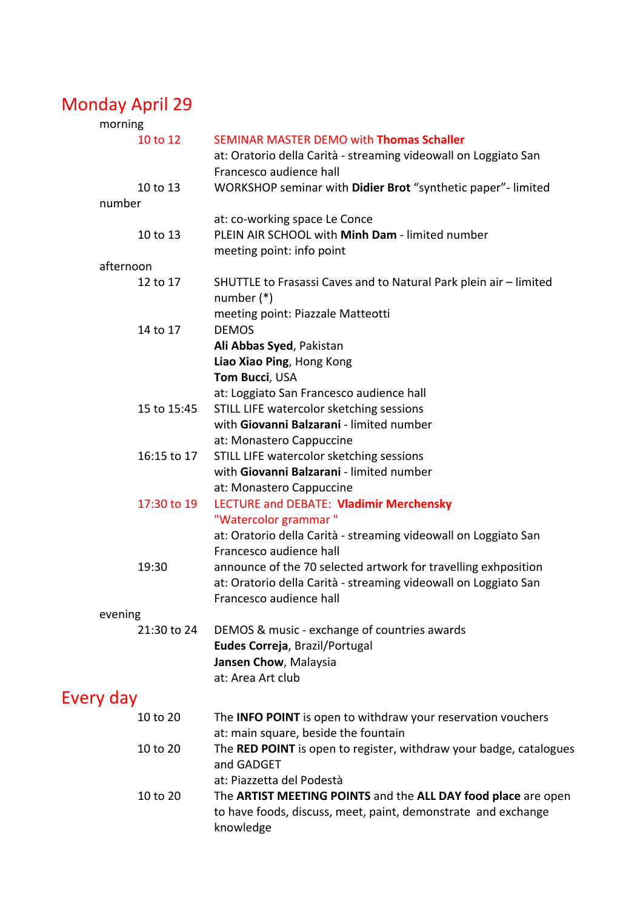# Monday April 29

| morning                |                                                                                                                                             |
|------------------------|---------------------------------------------------------------------------------------------------------------------------------------------|
| 10 to 12               | <b>SEMINAR MASTER DEMO with Thomas Schaller</b><br>at: Oratorio della Carità - streaming videowall on Loggiato San                          |
|                        | Francesco audience hall                                                                                                                     |
| 10 to 13               | WORKSHOP seminar with Didier Brot "synthetic paper"- limited                                                                                |
| number                 |                                                                                                                                             |
| 10 to 13               | at: co-working space Le Conce<br>PLEIN AIR SCHOOL with Minh Dam - limited number<br>meeting point: info point                               |
| afternoon              |                                                                                                                                             |
| 12 to 17               | SHUTTLE to Frasassi Caves and to Natural Park plein air - limited<br>number $(*)$                                                           |
| 14 to 17               | meeting point: Piazzale Matteotti<br><b>DEMOS</b>                                                                                           |
|                        | Ali Abbas Syed, Pakistan                                                                                                                    |
|                        | Liao Xiao Ping, Hong Kong                                                                                                                   |
|                        | Tom Bucci, USA                                                                                                                              |
|                        | at: Loggiato San Francesco audience hall                                                                                                    |
| 15 to 15:45            | STILL LIFE watercolor sketching sessions                                                                                                    |
|                        | with Giovanni Balzarani - limited number                                                                                                    |
|                        | at: Monastero Cappuccine                                                                                                                    |
| 16:15 to 17            | STILL LIFE watercolor sketching sessions                                                                                                    |
|                        | with Giovanni Balzarani - limited number                                                                                                    |
|                        | at: Monastero Cappuccine                                                                                                                    |
| 17:30 to 19            | LECTURE and DEBATE: Vladimir Merchensky                                                                                                     |
|                        | "Watercolor grammar"                                                                                                                        |
|                        | at: Oratorio della Carità - streaming videowall on Loggiato San                                                                             |
|                        | Francesco audience hall                                                                                                                     |
| 19:30                  | announce of the 70 selected artwork for travelling exhposition                                                                              |
|                        | at: Oratorio della Carità - streaming videowall on Loggiato San                                                                             |
|                        | Francesco audience hall                                                                                                                     |
| evening<br>21:30 to 24 | DEMOS & music - exchange of countries awards                                                                                                |
|                        | Eudes Correja, Brazil/Portugal                                                                                                              |
|                        | Jansen Chow, Malaysia                                                                                                                       |
|                        | at: Area Art club                                                                                                                           |
|                        |                                                                                                                                             |
| Every day              |                                                                                                                                             |
| 10 to 20               | The <b>INFO POINT</b> is open to withdraw your reservation vouchers<br>at: main square, beside the fountain                                 |
| 10 to 20               | The RED POINT is open to register, withdraw your badge, catalogues<br>and GADGET<br>at: Piazzetta del Podestà                               |
| 10 to 20               | The ARTIST MEETING POINTS and the ALL DAY food place are open<br>to have foods, discuss, meet, paint, demonstrate and exchange<br>knowledge |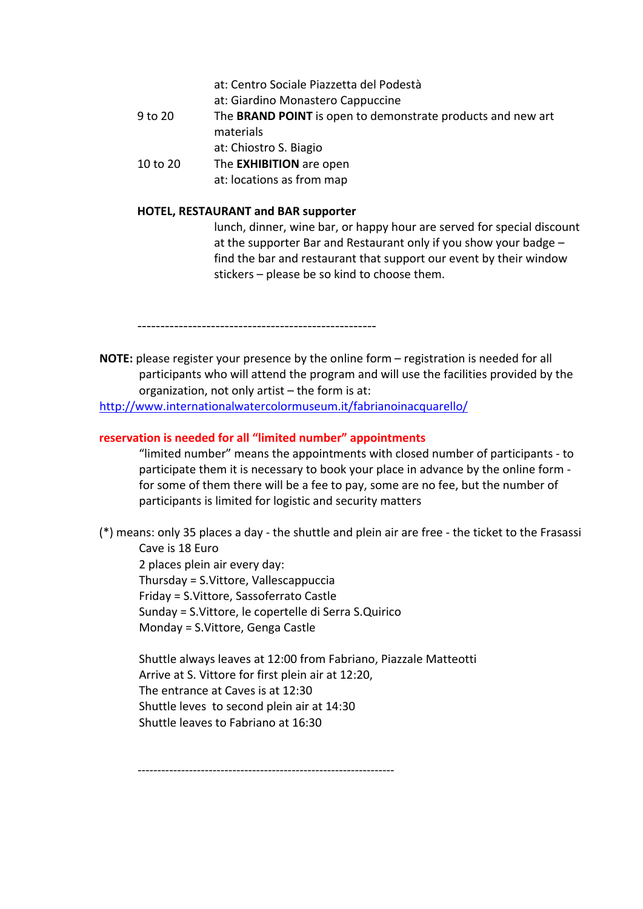- at: Centro Sociale Piazzetta del Podestà
- at: Giardino Monastero Cappuccine
- 9 to 20 The **BRAND POINT** is open to demonstrate products and new art materials
	- at: Chiostro S. Biagio
- 10 to 20 The **EXHIBITION** are open
	- at: locations as from map

#### **HOTEL, RESTAURANT and BAR supporter**

lunch, dinner, wine bar, or happy hour are served for special discount at the supporter Bar and Restaurant only if you show your badge – find the bar and restaurant that support our event by their window stickers – please be so kind to choose them.

----------------------------------------------------

**NOTE:** please register your presence by the online form – registration is needed for all participants who will attend the program and will use the facilities provided by the organization, not only artist – the form is at:

http://www.internationalwatercolormuseum.it/fabrianoinacquarello/

#### **reservation is needed for all "limited number" appointments**

"limited number" means the appointments with closed number of participants - to participate them it is necessary to book your place in advance by the online form for some of them there will be a fee to pay, some are no fee, but the number of participants is limited for logistic and security matters

(\*) means: only 35 places a day - the shuttle and plein air are free - the ticket to the Frasassi Cave is 18 Euro

2 places plein air every day: Thursday = S.Vittore, Vallescappuccia Friday = S.Vittore, Sassoferrato Castle Sunday = S.Vittore, le copertelle di Serra S.Quirico Monday = S.Vittore, Genga Castle

Shuttle always leaves at 12:00 from Fabriano, Piazzale Matteotti Arrive at S. Vittore for first plein air at 12:20, The entrance at Caves is at 12:30 Shuttle leves to second plein air at 14:30 Shuttle leaves to Fabriano at 16:30

-----------------------------------------------------------------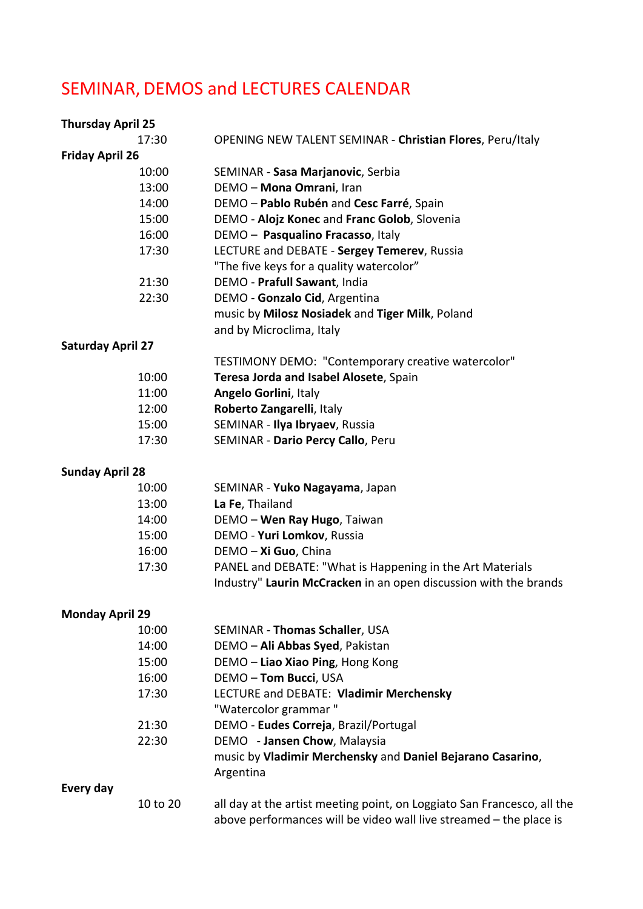# SEMINAR, DEMOS and LECTURES CALENDAR

| <b>Thursday April 25</b> |          |                                                                         |
|--------------------------|----------|-------------------------------------------------------------------------|
|                          | 17:30    | <b>OPENING NEW TALENT SEMINAR - Christian Flores, Peru/Italy</b>        |
| <b>Friday April 26</b>   |          |                                                                         |
|                          | 10:00    | SEMINAR - Sasa Marjanovic, Serbia                                       |
|                          | 13:00    | DEMO - Mona Omrani, Iran                                                |
|                          | 14:00    | DEMO - Pablo Rubén and Cesc Farré, Spain                                |
|                          | 15:00    | DEMO - Alojz Konec and Franc Golob, Slovenia                            |
|                          | 16:00    | DEMO - Pasqualino Fracasso, Italy                                       |
|                          | 17:30    | LECTURE and DEBATE - Sergey Temerev, Russia                             |
|                          |          | "The five keys for a quality watercolor"                                |
|                          | 21:30    | DEMO - Prafull Sawant, India                                            |
|                          | 22:30    | DEMO - Gonzalo Cid, Argentina                                           |
|                          |          | music by Milosz Nosiadek and Tiger Milk, Poland                         |
|                          |          | and by Microclima, Italy                                                |
| <b>Saturday April 27</b> |          |                                                                         |
|                          |          | TESTIMONY DEMO: "Contemporary creative watercolor"                      |
|                          | 10:00    | Teresa Jorda and Isabel Alosete, Spain                                  |
|                          | 11:00    | Angelo Gorlini, Italy                                                   |
|                          | 12:00    | Roberto Zangarelli, Italy                                               |
|                          | 15:00    | SEMINAR - Ilya Ibryaev, Russia                                          |
|                          | 17:30    | SEMINAR - Dario Percy Callo, Peru                                       |
| <b>Sunday April 28</b>   |          |                                                                         |
|                          | 10:00    | SEMINAR - Yuko Nagayama, Japan                                          |
|                          | 13:00    | La Fe, Thailand                                                         |
|                          | 14:00    | DEMO - Wen Ray Hugo, Taiwan                                             |
|                          | 15:00    | DEMO - Yuri Lomkov, Russia                                              |
|                          | 16:00    | DEMO - Xi Guo, China                                                    |
|                          | 17:30    | PANEL and DEBATE: "What is Happening in the Art Materials               |
|                          |          | Industry" Laurin McCracken in an open discussion with the brands        |
| <b>Monday April 29</b>   |          |                                                                         |
|                          | 10:00    | SEMINAR - Thomas Schaller, USA                                          |
|                          | 14:00    | DEMO - Ali Abbas Syed, Pakistan                                         |
|                          | 15:00    | DEMO - Liao Xiao Ping, Hong Kong                                        |
|                          | 16:00    | DEMO-Tom Bucci, USA                                                     |
|                          | 17:30    | LECTURE and DEBATE: Vladimir Merchensky                                 |
|                          |          | "Watercolor grammar"                                                    |
|                          | 21:30    | DEMO - Eudes Correja, Brazil/Portugal                                   |
|                          | 22:30    | DEMO - Jansen Chow, Malaysia                                            |
|                          |          | music by Vladimir Merchensky and Daniel Bejarano Casarino,<br>Argentina |
| Every day                |          |                                                                         |
|                          | 10 to 20 | all day at the artist meeting point, on Loggiato San Francesco, all the |
|                          |          | above performances will be video wall live streamed - the place is      |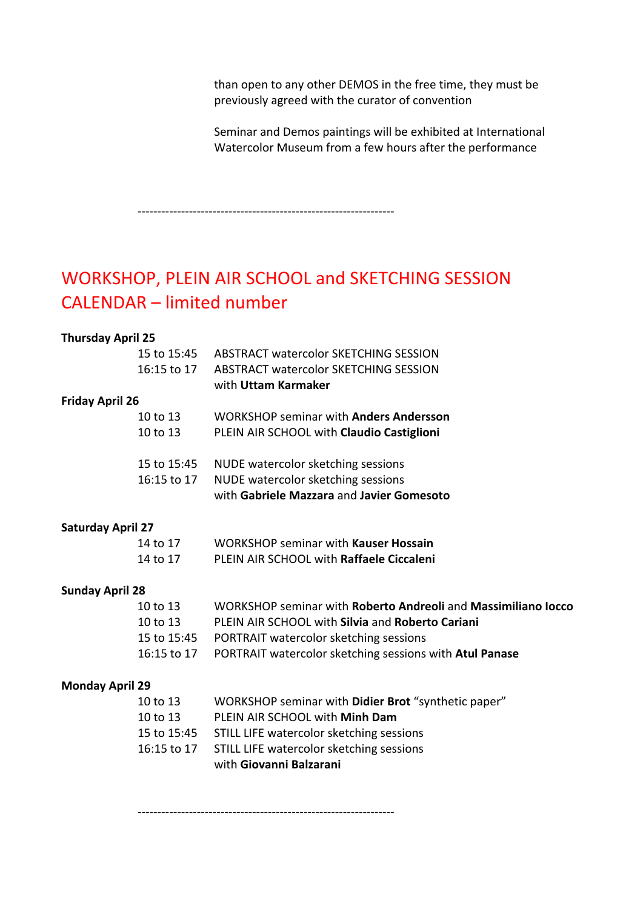than open to any other DEMOS in the free time, they must be previously agreed with the curator of convention

Seminar and Demos paintings will be exhibited at International Watercolor Museum from a few hours after the performance

-----------------------------------------------------------------

# WORKSHOP, PLEIN AIR SCHOOL and SKETCHING SESSION CALENDAR – limited number

#### **Thursday April 25**

|                          | 15 to 15:45 | ABSTRACT watercolor SKETCHING SESSION                         |
|--------------------------|-------------|---------------------------------------------------------------|
|                          | 16:15 to 17 | ABSTRACT watercolor SKETCHING SESSION                         |
|                          |             | with Uttam Karmaker                                           |
| <b>Friday April 26</b>   |             |                                                               |
|                          | 10 to 13    | <b>WORKSHOP seminar with Anders Andersson</b>                 |
|                          | 10 to 13    | PLEIN AIR SCHOOL with Claudio Castiglioni                     |
|                          | 15 to 15:45 | NUDE watercolor sketching sessions                            |
|                          | 16:15 to 17 | NUDE watercolor sketching sessions                            |
|                          |             | with Gabriele Mazzara and Javier Gomesoto                     |
| <b>Saturday April 27</b> |             |                                                               |
|                          | 14 to 17    | <b>WORKSHOP seminar with Kauser Hossain</b>                   |
|                          | 14 to 17    | PLEIN AIR SCHOOL with Raffaele Ciccaleni                      |
| <b>Sunday April 28</b>   |             |                                                               |
|                          | 10 to 13    | WORKSHOP seminar with Roberto Andreoli and Massimiliano locco |
|                          | 10 to 13    | PLEIN AIR SCHOOL with Silvia and Roberto Cariani              |
|                          | 15 to 15:45 | PORTRAIT watercolor sketching sessions                        |
|                          | 16:15 to 17 | PORTRAIT watercolor sketching sessions with Atul Panase       |
| <b>Monday April 29</b>   |             |                                                               |
|                          | 10 to 13    | WORKSHOP seminar with Didier Brot "synthetic paper"           |
|                          | 10 to 13    | PLEIN AIR SCHOOL with Minh Dam                                |
|                          | 15 to 15:45 | STILL LIFE watercolor sketching sessions                      |
|                          | 16:15 to 17 | STILL LIFE watercolor sketching sessions                      |
|                          |             | with Giovanni Balzarani                                       |

-----------------------------------------------------------------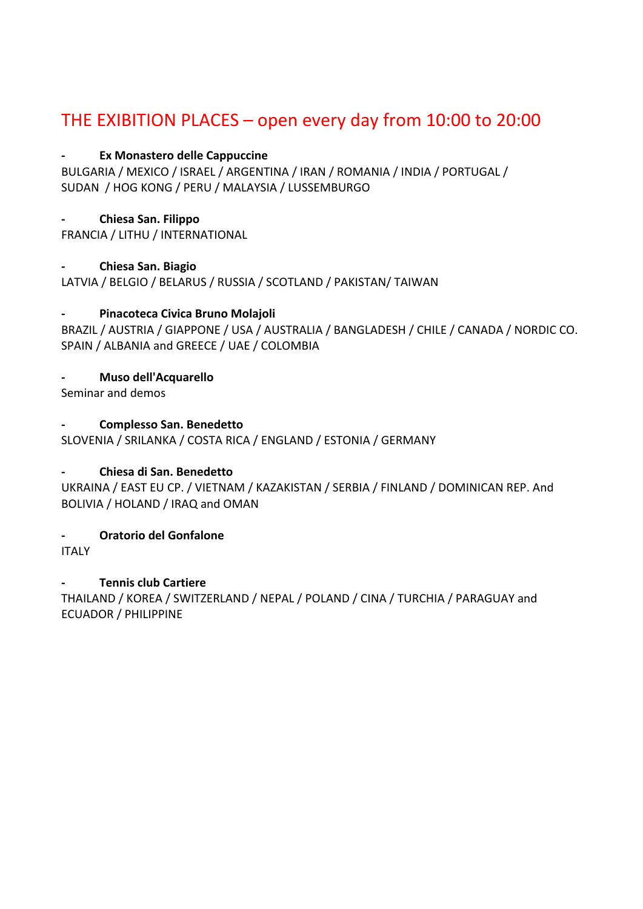## THE EXIBITION PLACES – open every day from 10:00 to 20:00

#### **- Ex Monastero delle Cappuccine**

BULGARIA / MEXICO / ISRAEL / ARGENTINA / IRAN / ROMANIA / INDIA / PORTUGAL / SUDAN / HOG KONG / PERU / MALAYSIA / LUSSEMBURGO

#### **- Chiesa San. Filippo**

FRANCIA / LITHU / INTERNATIONAL

#### **- Chiesa San. Biagio**

LATVIA / BELGIO / BELARUS / RUSSIA / SCOTLAND / PAKISTAN/ TAIWAN

#### **- Pinacoteca Civica Bruno Molajoli**

BRAZIL / AUSTRIA / GIAPPONE / USA / AUSTRALIA / BANGLADESH / CHILE / CANADA / NORDIC CO. SPAIN / ALBANIA and GREECE / UAE / COLOMBIA

#### **- Muso dell'Acquarello**

Seminar and demos

#### **- Complesso San. Benedetto**

SLOVENIA / SRILANKA / COSTA RICA / ENGLAND / ESTONIA / GERMANY

#### **- Chiesa di San. Benedetto**

UKRAINA / EAST EU CP. / VIETNAM / KAZAKISTAN / SERBIA / FINLAND / DOMINICAN REP. And BOLIVIA / HOLAND / IRAQ and OMAN

**- Oratorio del Gonfalone** 

ITALY

#### **- Tennis club Cartiere**

THAILAND / KOREA / SWITZERLAND / NEPAL / POLAND / CINA / TURCHIA / PARAGUAY and ECUADOR / PHILIPPINE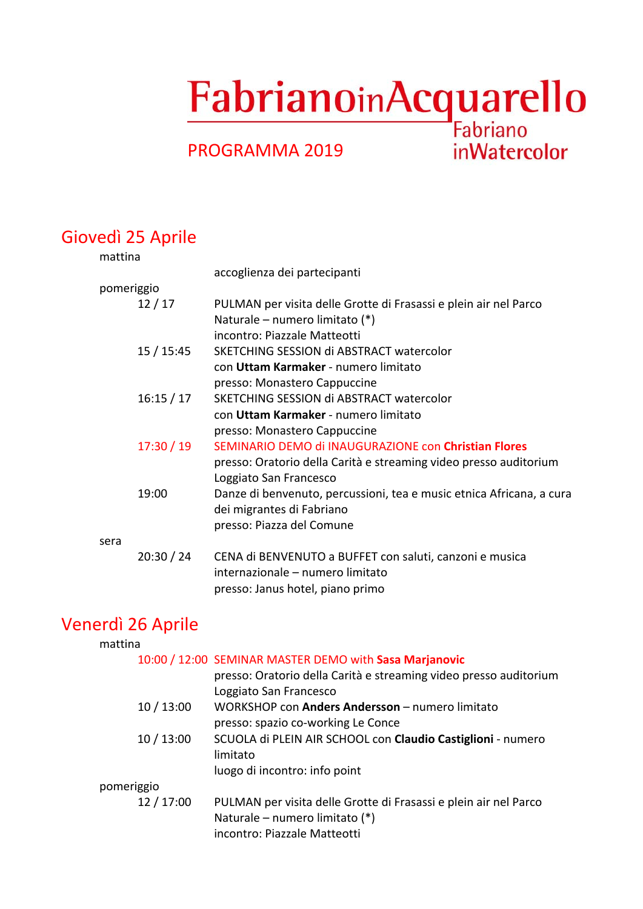# FabrianoinAcquarello

**inWatercolor** 

# PROGRAMMA 2019

# Giovedì 25 Aprile

| mattina |            |                                                                      |
|---------|------------|----------------------------------------------------------------------|
|         |            | accoglienza dei partecipanti                                         |
|         | pomeriggio |                                                                      |
|         | 12/17      | PULMAN per visita delle Grotte di Frasassi e plein air nel Parco     |
|         |            | Naturale – numero limitato (*)                                       |
|         |            | incontro: Piazzale Matteotti                                         |
|         | 15/15:45   | SKETCHING SESSION di ABSTRACT watercolor                             |
|         |            | con Uttam Karmaker - numero limitato                                 |
|         |            | presso: Monastero Cappuccine                                         |
|         | 16:15/17   | SKETCHING SESSION di ABSTRACT watercolor                             |
|         |            | con Uttam Karmaker - numero limitato                                 |
|         |            | presso: Monastero Cappuccine                                         |
|         | 17:30/19   | SEMINARIO DEMO di INAUGURAZIONE con Christian Flores                 |
|         |            | presso: Oratorio della Carità e streaming video presso auditorium    |
|         |            | Loggiato San Francesco                                               |
|         | 19:00      | Danze di benvenuto, percussioni, tea e music etnica Africana, a cura |
|         |            | dei migrantes di Fabriano                                            |
|         |            | presso: Piazza del Comune                                            |
| sera    |            |                                                                      |
|         | 20:30 / 24 | CENA di BENVENUTO a BUFFET con saluti, canzoni e musica              |
|         |            | internazionale - numero limitato                                     |
|         |            | presso: Janus hotel, piano primo                                     |

# Venerdì 26 Aprile

| mattina    |            |                                                                                                                                                       |
|------------|------------|-------------------------------------------------------------------------------------------------------------------------------------------------------|
|            |            | 10:00 / 12:00 SEMINAR MASTER DEMO with Sasa Marjanovic<br>presso: Oratorio della Carità e streaming video presso auditorium<br>Loggiato San Francesco |
|            | 10/13:00   | WORKSHOP con Anders Andersson - numero limitato<br>presso: spazio co-working Le Conce                                                                 |
|            | 10/13:00   | SCUOLA di PLEIN AIR SCHOOL con Claudio Castiglioni - numero<br>limitato<br>luogo di incontro: info point                                              |
| pomeriggio |            |                                                                                                                                                       |
|            | 12 / 17:00 | PULMAN per visita delle Grotte di Frasassi e plein air nel Parco<br>Naturale – numero limitato (*)<br>incontro: Piazzale Matteotti                    |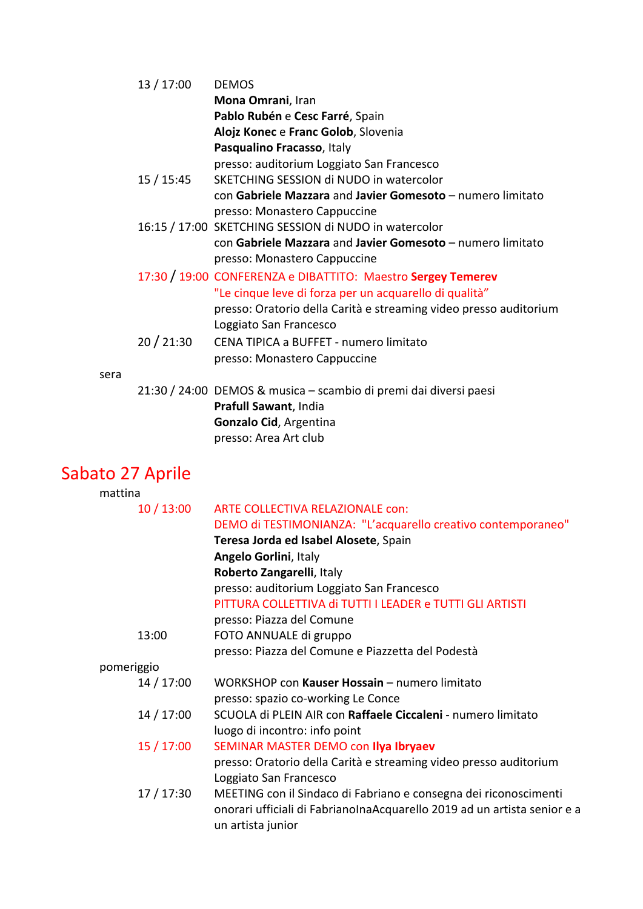|      | 13 / 17:00 | <b>DEMOS</b>                                                      |
|------|------------|-------------------------------------------------------------------|
|      |            | Mona Omrani, Iran                                                 |
|      |            | Pablo Rubén e Cesc Farré, Spain                                   |
|      |            | Alojz Konec e Franc Golob, Slovenia                               |
|      |            | Pasqualino Fracasso, Italy                                        |
|      |            | presso: auditorium Loggiato San Francesco                         |
|      | 15 / 15:45 | SKETCHING SESSION di NUDO in watercolor                           |
|      |            | con Gabriele Mazzara and Javier Gomesoto - numero limitato        |
|      |            | presso: Monastero Cappuccine                                      |
|      |            | 16:15 / 17:00 SKETCHING SESSION di NUDO in watercolor             |
|      |            | con Gabriele Mazzara and Javier Gomesoto - numero limitato        |
|      |            | presso: Monastero Cappuccine                                      |
|      |            | 17:30 / 19:00 CONFERENZA e DIBATTITO: Maestro Sergey Temerev      |
|      |            | "Le cinque leve di forza per un acquarello di qualità"            |
|      |            | presso: Oratorio della Carità e streaming video presso auditorium |
|      |            | Loggiato San Francesco                                            |
|      | 20/21:30   | CENA TIPICA a BUFFET - numero limitato                            |
|      |            | presso: Monastero Cappuccine                                      |
| sera |            |                                                                   |
|      |            | 21:30 / 24:00 DEMOS & musica – scambio di premi dai diversi paesi |
|      |            | Prafull Sawant, India                                             |
|      |            | Gonzalo Cid, Argentina                                            |
|      |            | presso: Area Art club                                             |

# Sabato 27 Aprile

| mattina    |                                                                                               |
|------------|-----------------------------------------------------------------------------------------------|
| 10/13:00   | ARTE COLLECTIVA RELAZIONALE con:                                                              |
|            | DEMO di TESTIMONIANZA: "L'acquarello creativo contemporaneo"                                  |
|            | Teresa Jorda ed Isabel Alosete, Spain                                                         |
|            | <b>Angelo Gorlini, Italy</b>                                                                  |
|            | Roberto Zangarelli, Italy                                                                     |
|            | presso: auditorium Loggiato San Francesco                                                     |
|            | PITTURA COLLETTIVA di TUTTI I LEADER e TUTTI GLI ARTISTI                                      |
|            | presso: Piazza del Comune                                                                     |
| 13:00      | FOTO ANNUALE di gruppo                                                                        |
|            | presso: Piazza del Comune e Piazzetta del Podestà                                             |
| pomeriggio |                                                                                               |
| 14 / 17:00 | WORKSHOP con Kauser Hossain - numero limitato                                                 |
|            | presso: spazio co-working Le Conce                                                            |
| 14 / 17:00 | SCUOLA di PLEIN AIR con Raffaele Ciccaleni - numero limitato                                  |
|            | luogo di incontro: info point                                                                 |
| 15/17:00   | SEMINAR MASTER DEMO con Ilya Ibryaev                                                          |
|            | presso: Oratorio della Carità e streaming video presso auditorium                             |
|            | Loggiato San Francesco                                                                        |
| 17 / 17:30 | MEETING con il Sindaco di Fabriano e consegna dei riconoscimenti                              |
|            | onorari ufficiali di FabrianolnaAcquarello 2019 ad un artista senior e a<br>un artista junior |
|            |                                                                                               |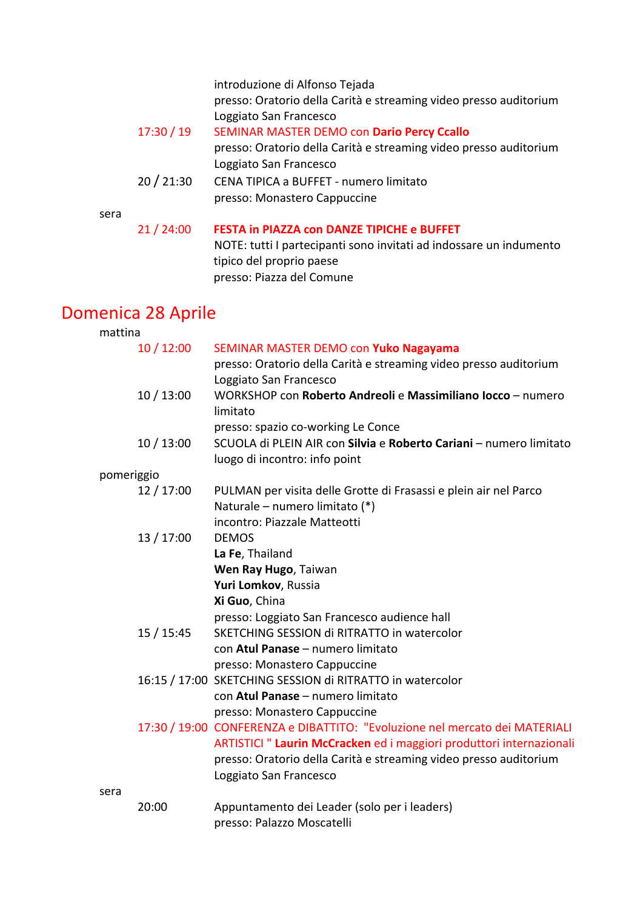|      |            | introduzione di Alfonso Tejada<br>presso: Oratorio della Carità e streaming video presso auditorium<br>Loggiato San Francesco |
|------|------------|-------------------------------------------------------------------------------------------------------------------------------|
|      | 17:30 / 19 | SEMINAR MASTER DEMO con Dario Percy Ccallo                                                                                    |
|      |            | presso: Oratorio della Carità e streaming video presso auditorium                                                             |
|      |            | Loggiato San Francesco                                                                                                        |
|      | 20/21:30   | CENA TIPICA a BUFFET - numero limitato                                                                                        |
|      |            | presso: Monastero Cappuccine                                                                                                  |
| sera |            |                                                                                                                               |
|      | 21/24:00   | <b>FESTA in PIAZZA con DANZE TIPICHE e BUFFET</b>                                                                             |
|      |            | NOTE: tutti I partecipanti sono invitati ad indossare un indumento                                                            |
|      |            | tipico del proprio paese                                                                                                      |
|      |            | presso: Piazza del Comune                                                                                                     |
|      |            |                                                                                                                               |

### Domenica 28 Aprile

| mattina    |            |                                                                             |
|------------|------------|-----------------------------------------------------------------------------|
|            | 10/12:00   | SEMINAR MASTER DEMO con Yuko Nagayama                                       |
|            |            | presso: Oratorio della Carità e streaming video presso auditorium           |
|            |            | Loggiato San Francesco                                                      |
|            | 10/13:00   | WORKSHOP con Roberto Andreoli e Massimiliano locco - numero                 |
|            |            | limitato                                                                    |
|            |            | presso: spazio co-working Le Conce                                          |
|            | 10/13:00   | SCUOLA di PLEIN AIR con Silvia e Roberto Cariani - numero limitato          |
|            |            | luogo di incontro: info point                                               |
| pomeriggio |            |                                                                             |
|            | 12 / 17:00 | PULMAN per visita delle Grotte di Frasassi e plein air nel Parco            |
|            |            | Naturale – numero limitato (*)                                              |
|            |            | incontro: Piazzale Matteotti                                                |
|            | 13 / 17:00 | <b>DEMOS</b>                                                                |
|            |            | La Fe, Thailand                                                             |
|            |            | Wen Ray Hugo, Taiwan                                                        |
|            |            | Yuri Lomkov, Russia                                                         |
|            |            | Xi Guo, China                                                               |
|            |            | presso: Loggiato San Francesco audience hall                                |
|            | 15 / 15:45 | SKETCHING SESSION di RITRATTO in watercolor                                 |
|            |            | con Atul Panase - numero limitato                                           |
|            |            | presso: Monastero Cappuccine                                                |
|            |            | 16:15 / 17:00 SKETCHING SESSION di RITRATTO in watercolor                   |
|            |            | con Atul Panase - numero limitato                                           |
|            |            | presso: Monastero Cappuccine                                                |
|            |            | 17:30 / 19:00 CONFERENZA e DIBATTITO: "Evoluzione nel mercato dei MATERIALI |
|            |            | ARTISTICI " Laurin McCracken ed i maggiori produttori internazionali        |
|            |            | presso: Oratorio della Carità e streaming video presso auditorium           |
|            |            | Loggiato San Francesco                                                      |
| sera       |            |                                                                             |
|            | 20:00      | Appuntamento dei Leader (solo per i leaders)                                |

presso: Palazzo Moscatelli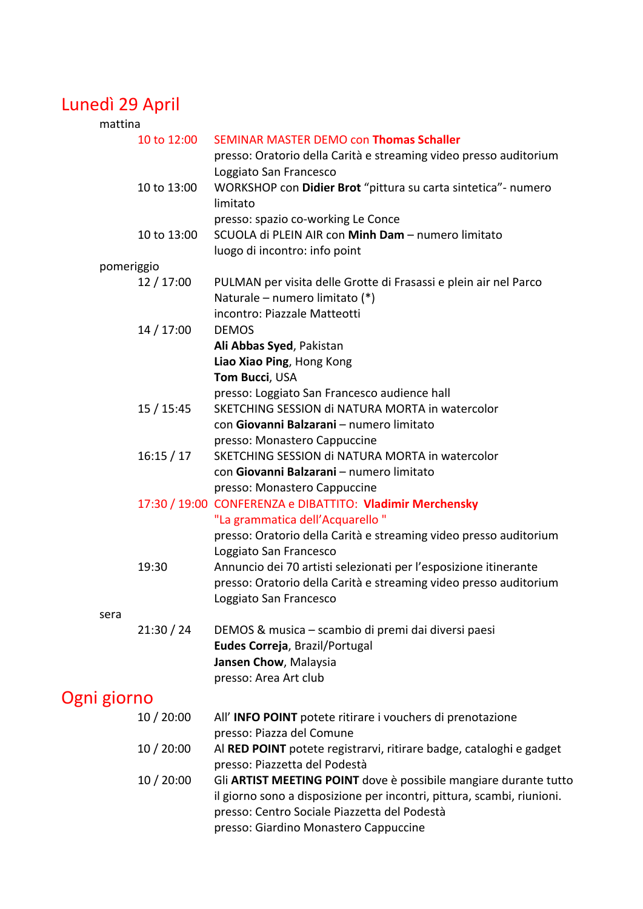# Lunedì 29 April

| mattina     |             |                                                                        |
|-------------|-------------|------------------------------------------------------------------------|
|             | 10 to 12:00 | SEMINAR MASTER DEMO con Thomas Schaller                                |
|             |             | presso: Oratorio della Carità e streaming video presso auditorium      |
|             |             | Loggiato San Francesco                                                 |
|             | 10 to 13:00 | WORKSHOP con Didier Brot "pittura su carta sintetica"- numero          |
|             |             | limitato                                                               |
|             |             | presso: spazio co-working Le Conce                                     |
|             | 10 to 13:00 | SCUOLA di PLEIN AIR con Minh Dam - numero limitato                     |
|             |             |                                                                        |
|             |             | luogo di incontro: info point                                          |
| pomeriggio  |             |                                                                        |
|             | 12/17:00    | PULMAN per visita delle Grotte di Frasassi e plein air nel Parco       |
|             |             | Naturale - numero limitato (*)                                         |
|             |             | incontro: Piazzale Matteotti                                           |
|             | 14 / 17:00  | <b>DEMOS</b>                                                           |
|             |             | Ali Abbas Syed, Pakistan                                               |
|             |             | Liao Xiao Ping, Hong Kong                                              |
|             |             | Tom Bucci, USA                                                         |
|             |             | presso: Loggiato San Francesco audience hall                           |
|             | 15/15:45    | SKETCHING SESSION di NATURA MORTA in watercolor                        |
|             |             | con Giovanni Balzarani - numero limitato                               |
|             |             | presso: Monastero Cappuccine                                           |
|             | 16:15/17    | SKETCHING SESSION di NATURA MORTA in watercolor                        |
|             |             | con Giovanni Balzarani - numero limitato                               |
|             |             | presso: Monastero Cappuccine                                           |
|             |             | 17:30 / 19:00 CONFERENZA e DIBATTITO: Vladimir Merchensky              |
|             |             | "La grammatica dell'Acquarello"                                        |
|             |             | presso: Oratorio della Carità e streaming video presso auditorium      |
|             |             | Loggiato San Francesco                                                 |
|             | 19:30       | Annuncio dei 70 artisti selezionati per l'esposizione itinerante       |
|             |             | presso: Oratorio della Carità e streaming video presso auditorium      |
|             |             | Loggiato San Francesco                                                 |
| sera        |             |                                                                        |
|             | 21:30 / 24  | DEMOS & musica – scambio di premi dai diversi paesi                    |
|             |             | Eudes Correja, Brazil/Portugal                                         |
|             |             | Jansen Chow, Malaysia                                                  |
|             |             |                                                                        |
|             |             | presso: Area Art club                                                  |
| Ogni giorno |             |                                                                        |
|             | 10/20:00    | All' INFO POINT potete ritirare i vouchers di prenotazione             |
|             |             | presso: Piazza del Comune                                              |
|             | 10/20:00    | Al RED POINT potete registrarvi, ritirare badge, cataloghi e gadget    |
|             |             | presso: Piazzetta del Podestà                                          |
|             | 10/20:00    | Gli ARTIST MEETING POINT dove è possibile mangiare durante tutto       |
|             |             | il giorno sono a disposizione per incontri, pittura, scambi, riunioni. |
|             |             | presso: Centro Sociale Piazzetta del Podestà                           |
|             |             | presso: Giardino Monastero Cappuccine                                  |
|             |             |                                                                        |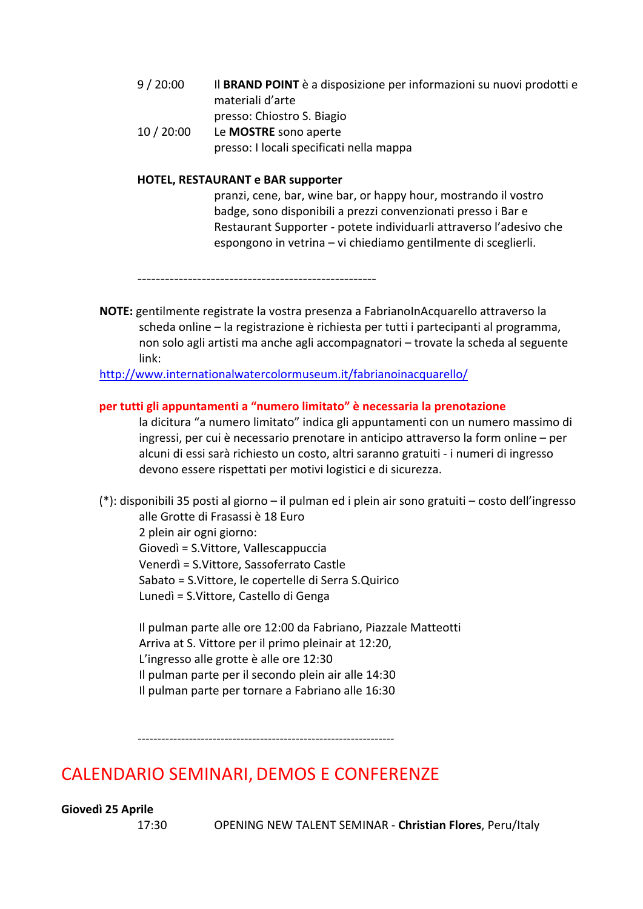- 9 / 20:00 Il **BRAND POINT** è a disposizione per informazioni su nuovi prodotti e materiali d'arte presso: Chiostro S. Biagio
- 10 / 20:00 Le **MOSTRE** sono aperte presso: I locali specificati nella mappa

#### **HOTEL, RESTAURANT e BAR supporter**

pranzi, cene, bar, wine bar, or happy hour, mostrando il vostro badge, sono disponibili a prezzi convenzionati presso i Bar e Restaurant Supporter - potete individuarli attraverso l'adesivo che espongono in vetrina – vi chiediamo gentilmente di sceglierli.

----------------------------------------------------

**NOTE:** gentilmente registrate la vostra presenza a FabrianoInAcquarello attraverso la scheda online – la registrazione è richiesta per tutti i partecipanti al programma, non solo agli artisti ma anche agli accompagnatori – trovate la scheda al seguente link:

http://www.internationalwatercolormuseum.it/fabrianoinacquarello/

#### **per tutti gli appuntamenti a "numero limitato" è necessaria la prenotazione**

la dicitura "a numero limitato" indica gli appuntamenti con un numero massimo di ingressi, per cui è necessario prenotare in anticipo attraverso la form online – per alcuni di essi sarà richiesto un costo, altri saranno gratuiti - i numeri di ingresso devono essere rispettati per motivi logistici e di sicurezza.

(\*): disponibili 35 posti al giorno – il pulman ed i plein air sono gratuiti – costo dell'ingresso alle Grotte di Frasassi è 18 Euro 2 plein air ogni giorno: Giovedì = S.Vittore, Vallescappuccia

Venerdì = S.Vittore, Sassoferrato Castle Sabato = S.Vittore, le copertelle di Serra S.Quirico Lunedì = S.Vittore, Castello di Genga

Il pulman parte alle ore 12:00 da Fabriano, Piazzale Matteotti Arriva at S. Vittore per il primo pleinair at 12:20, L'ingresso alle grotte è alle ore 12:30 Il pulman parte per il secondo plein air alle 14:30 Il pulman parte per tornare a Fabriano alle 16:30

-----------------------------------------------------------------

### CALENDARIO SEMINARI, DEMOS E CONFERENZE

**Giovedì 25 Aprile** 

17:30 OPENING NEW TALENT SEMINAR - **Christian Flores**, Peru/Italy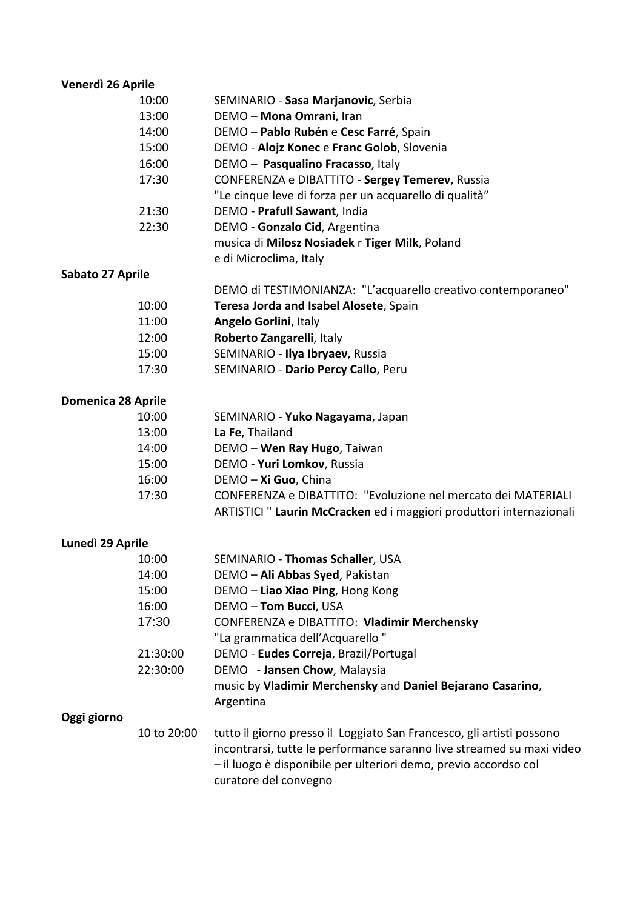# **Venerdì 26 Aprile**

| אי יש |                                                        |
|-------|--------------------------------------------------------|
| 10:00 | SEMINARIO - Sasa Marjanovic, Serbia                    |
| 13:00 | DEMO - Mona Omrani, Iran                               |
| 14:00 | DEMO - Pablo Rubén e Cesc Farré, Spain                 |
| 15:00 | DEMO - Alojz Konec e Franc Golob, Slovenia             |
| 16:00 | DEMO - Pasqualino Fracasso, Italy                      |
| 17:30 | CONFERENZA e DIBATTITO - Sergey Temerev, Russia        |
|       | "Le cinque leve di forza per un acquarello di qualità" |
| 21:30 | DEMO - Prafull Sawant, India                           |
| 22:30 | DEMO - Gonzalo Cid, Argentina                          |
|       | musica di Milosz Nosiadek r Tiger Milk, Poland         |
|       | e di Microclima, Italy                                 |

#### **Sabato 27 Aprile**

| ┅     |                                                              |
|-------|--------------------------------------------------------------|
|       | DEMO di TESTIMONIANZA: "L'acquarello creativo contemporaneo" |
| 10:00 | Teresa Jorda and Isabel Alosete, Spain                       |
| 11:00 | <b>Angelo Gorlini, Italy</b>                                 |
| 12:00 | Roberto Zangarelli, Italy                                    |
| 15:00 | SEMINARIO - Ilya Ibryaev, Russia                             |
| 17:30 | SEMINARIO - Dario Percy Callo, Peru                          |
|       |                                                              |

#### **Domenica 28 Aprile**

| 10:00 | SEMINARIO - Yuko Nagayama, Japan                                    |
|-------|---------------------------------------------------------------------|
| 13:00 | La Fe, Thailand                                                     |
| 14:00 | DEMO - Wen Ray Hugo, Taiwan                                         |
| 15:00 | DEMO - Yuri Lomkov, Russia                                          |
| 16:00 | DEMO - Xi Guo, China                                                |
| 17:30 | CONFERENZA e DIBATTITO: "Evoluzione nel mercato dei MATERIALI       |
|       | ARTISTICI" Laurin McCracken ed i maggiori produttori internazionali |

#### **Lunedì 29 Aprile**

|             | 10:00    | SEMINARIO - Thomas Schaller, USA                           |
|-------------|----------|------------------------------------------------------------|
|             | 14:00    | DEMO - Ali Abbas Syed, Pakistan                            |
|             | 15:00    | DEMO - Liao Xiao Ping, Hong Kong                           |
|             | 16:00    | DEMO - Tom Bucci, USA                                      |
|             | 17:30    | CONFERENZA e DIBATTITO: Vladimir Merchensky                |
|             |          | "La grammatica dell'Acquarello"                            |
|             | 21:30:00 | DEMO - Eudes Correja, Brazil/Portugal                      |
|             | 22:30:00 | DEMO - Jansen Chow, Malaysia                               |
|             |          | music by Vladimir Merchensky and Daniel Bejarano Casarino, |
|             |          | Argentina                                                  |
| Oggi giorno |          |                                                            |
|             |          |                                                            |

#### **Oggi giorn**

| 10 to 20:00 | tutto il giorno presso il Loggiato San Francesco, gli artisti possono |
|-------------|-----------------------------------------------------------------------|
|             | incontrarsi, tutte le performance saranno live streamed su maxi video |
|             | - il luogo è disponibile per ulteriori demo, previo accordso col      |
|             | curatore del convegno                                                 |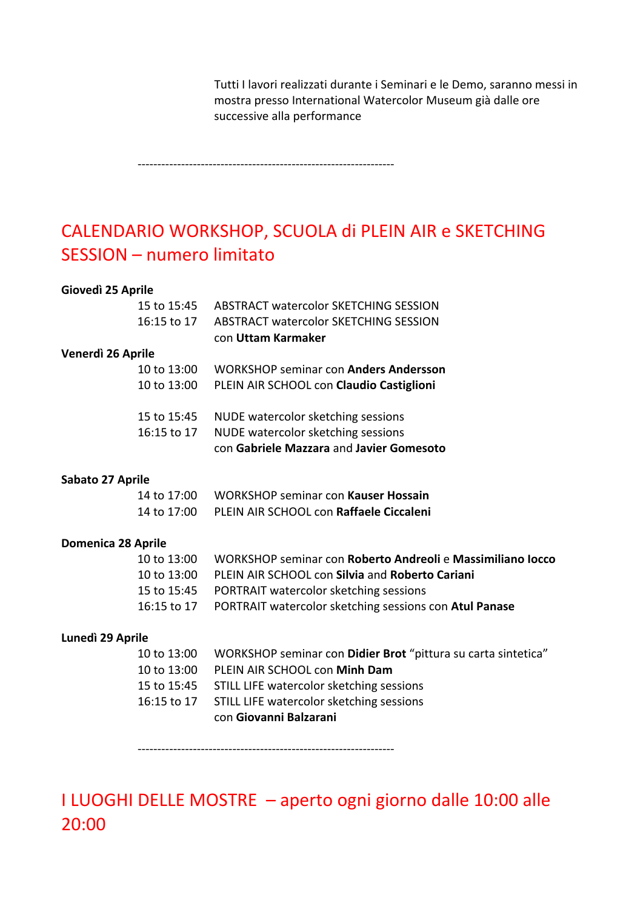Tutti I lavori realizzati durante i Seminari e le Demo, saranno messi in mostra presso International Watercolor Museum già dalle ore successive alla performance

-----------------------------------------------------------------

# CALENDARIO WORKSHOP, SCUOLA di PLEIN AIR e SKETCHING SESSION – numero limitato

#### **Giovedì 25 Aprile**

| 15 to 15:45       | ABSTRACT watercolor SKETCHING SESSION        |
|-------------------|----------------------------------------------|
| 16:15 to 17       | ABSTRACT watercolor SKETCHING SESSION        |
|                   | con Uttam Karmaker                           |
| Venerdì 26 Aprile |                                              |
| 10 to 13:00       | <b>WORKSHOP seminar con Anders Andersson</b> |
| 10 to 13:00       | PLEIN AIR SCHOOL con Claudio Castiglioni     |
|                   |                                              |
| 15 to 15:45       | NUDE watercolor sketching sessions           |
| 16:15 to 17       | NUDE watercolor sketching sessions           |

#### con **Gabriele Mazzara** and **Javier Gomesoto**

#### **Sabato 27 Aprile**

| 14 to 17:00 l | <b>WORKSHOP seminar con Kauser Hossain</b> |
|---------------|--------------------------------------------|
| 14 to 17:00   | PLEIN AIR SCHOOL con Raffaele Ciccaleni    |

#### **Domenica 28 Aprile**

| 10 to $13:00$ | WORKSHOP seminar con Roberto Andreoli e Massimiliano locco         |
|---------------|--------------------------------------------------------------------|
|               | 10 to 13:00 PLEIN AIR SCHOOL con Silvia and Roberto Cariani        |
|               | 15 to 15:45 PORTRAIT watercolor sketching sessions                 |
|               | 16:15 to 17 PORTRAIT watercolor sketching sessions con Atul Panase |

#### **Lunedì 29 Aprile**

| 10 to 13:00 WORKSHOP seminar con Didier Brot "pittura su carta sintetica" |
|---------------------------------------------------------------------------|
| 10 to 13:00 PLEIN AIR SCHOOL con Minh Dam                                 |
| 15 to 15:45 STILL LIFE watercolor sketching sessions                      |
| 16:15 to 17 STILL LIFE watercolor sketching sessions                      |
| con Giovanni Balzarani                                                    |

-----------------------------------------------------------------

I LUOGHI DELLE MOSTRE – aperto ogni giorno dalle 10:00 alle 20:00